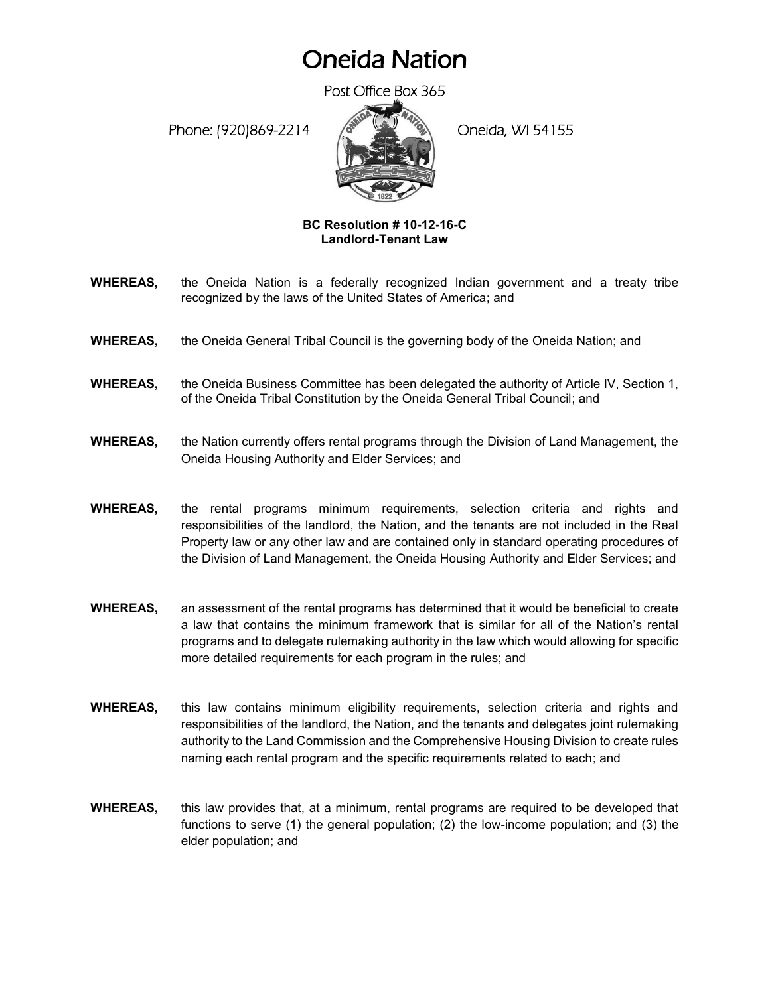## Oneida Nation

Post Office Box 365

Phone: (920)869-2214 (Company) Oneida, WI 54155



## **BC Resolution # 10-12-16-C Landlord-Tenant Law**

- **WHEREAS,** the Oneida Nation is a federally recognized Indian government and a treaty tribe recognized by the laws of the United States of America; and
- **WHEREAS,** the Oneida General Tribal Council is the governing body of the Oneida Nation; and
- **WHEREAS,** the Oneida Business Committee has been delegated the authority of Article IV, Section 1, of the Oneida Tribal Constitution by the Oneida General Tribal Council; and
- **WHEREAS,** the Nation currently offers rental programs through the Division of Land Management, the Oneida Housing Authority and Elder Services; and
- **WHEREAS,** the rental programs minimum requirements, selection criteria and rights and responsibilities of the landlord, the Nation, and the tenants are not included in the Real Property law or any other law and are contained only in standard operating procedures of the Division of Land Management, the Oneida Housing Authority and Elder Services; and
- **WHEREAS,** an assessment of the rental programs has determined that it would be beneficial to create a law that contains the minimum framework that is similar for all of the Nation's rental programs and to delegate rulemaking authority in the law which would allowing for specific more detailed requirements for each program in the rules; and
- **WHEREAS,** this law contains minimum eligibility requirements, selection criteria and rights and responsibilities of the landlord, the Nation, and the tenants and delegates joint rulemaking authority to the Land Commission and the Comprehensive Housing Division to create rules naming each rental program and the specific requirements related to each; and
- **WHEREAS,** this law provides that, at a minimum, rental programs are required to be developed that functions to serve (1) the general population; (2) the low-income population; and (3) the elder population; and